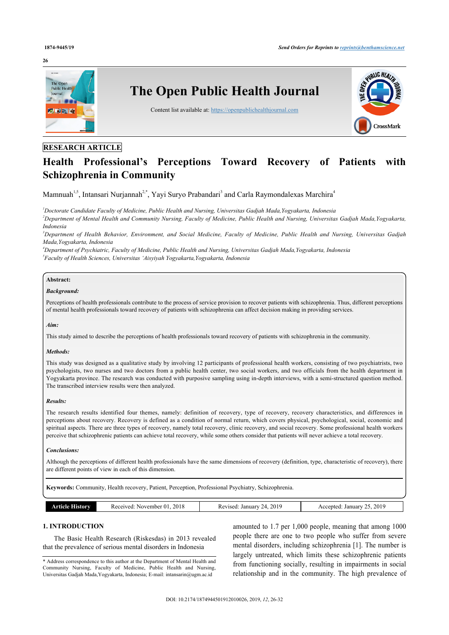#### **26**



# **RESEARCH ARTICLE**

# **Health Professional's Perceptions Toward Recovery of Patients with Schizophrenia in Community**

Mamnuah<sup>[1](#page-0-0)[,5](#page-0-1)</sup>, Intansari Nurjannah<sup>[2,](#page-0-2)[\\*](#page-0-3)</sup>, Yayi Suryo Prabandari<sup>[3](#page-0-4)</sup> and Carla Raymondalexas Marchira<sup>[4](#page-0-5)</sup>

<span id="page-0-0"></span>*<sup>1</sup>Doctorate Candidate Faculty of Medicine, Public Health and Nursing, Universitas Gadjah Mada,Yogyakarta, Indonesia*

<span id="page-0-2"></span>*<sup>2</sup>Department of Mental Health and Community Nursing, Faculty of Medicine, Public Health and Nursing, Universitas Gadjah Mada,Yogyakarta, Indonesia*

<span id="page-0-4"></span>*<sup>3</sup>Department of Health Behavior, Environment, and Social Medicine, Faculty of Medicine, Public Health and Nursing, Universitas Gadjah Mada,Yogyakarta, Indonesia*

<span id="page-0-5"></span><span id="page-0-1"></span>*<sup>4</sup>Department of Psychiatric, Faculty of Medicine, Public Health and Nursing, Universitas Gadjah Mada,Yogyakarta, Indonesia 5 Faculty of Health Sciences, Universitas 'Aisyiyah Yogyakarta,Yogyakarta, Indonesia*

# **Abstract:**

#### *Background:*

Perceptions of health professionals contribute to the process of service provision to recover patients with schizophrenia. Thus, different perceptions of mental health professionals toward recovery of patients with schizophrenia can affect decision making in providing services.

#### *Aim:*

This study aimed to describe the perceptions of health professionals toward recovery of patients with schizophrenia in the community.

#### *Methods:*

This study was designed as a qualitative study by involving 12 participants of professional health workers, consisting of two psychiatrists, two psychologists, two nurses and two doctors from a public health center, two social workers, and two officials from the health department in Yogyakarta province. The research was conducted with purposive sampling using in-depth interviews, with a semi-structured question method. The transcribed interview results were then analyzed.

#### *Results:*

The research results identified four themes, namely: definition of recovery, type of recovery, recovery characteristics, and differences in perceptions about recovery. Recovery is defined as a condition of normal return, which covers physical, psychological, social, economic and spiritual aspects. There are three types of recovery, namely total recovery, clinic recovery, and social recovery. Some professional health workers perceive that schizophrenic patients can achieve total recovery, while some others consider that patients will never achieve a total recovery.

#### *Conclusions:*

Although the perceptions of different health professionals have the same dimensions of recovery (definition, type, characteristic of recovery), there are different points of view in each of this dimension.

**Keywords:** Community, Health recovery, Patient, Perception, Professional Psychiatry, Schizophrenia.

| <b>SHIRIOTIV</b><br>"TICLA"<br> | 2018<br>Received:<br>November 0<br><u>., 1</u> | 2019<br>Revised:<br>January | 2019<br>January<br>Accented<br>__ |
|---------------------------------|------------------------------------------------|-----------------------------|-----------------------------------|
|                                 |                                                |                             |                                   |

# **1. INTRODUCTION**

The Basic Health Research (Riskesdas) in 2013 revealed that the prevalence of serious mental disorders in Indonesia

<span id="page-0-3"></span>\* Address correspondence to this author at the Department of Mental Health and Community Nursing, Faculty of Medicine, Public Health and Nursing, Universitas Gadjah Mada,Yogyakarta, Indonesia; E-mail: [intansarin@ugm.ac.id](mailto:intansarin@ugm.ac.id)

amounted to 1.7 per 1,000 people, meaning that among 1000 people there are one to two people who suffer from severe mental disorders, including schizophrenia [\[1\]](#page-6-0). The number is largely untreated, which limits these schizophrenic patients from functioning socially, resulting in impairments in social relationship and in the community. The high prevalence of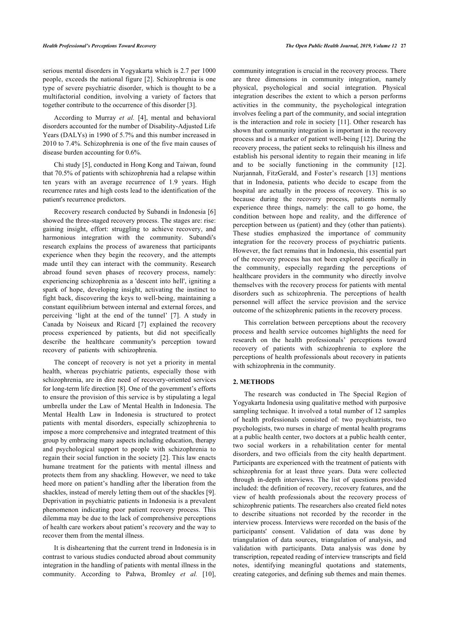serious mental disorders in Yogyakarta which is 2.7 per 1000 people, exceeds the national figure [[2](#page-6-1)]. Schizophrenia is one type of severe psychiatric disorder, which is thought to be a multifactorial condition, involving a variety of factors that together contribute to the occurrence of this disorder [\[3\]](#page-6-2).

According to Murray *et al.* [\[4\]](#page-6-3), mental and behavioral disorders accounted for the number of Disability-Adjusted Life Years (DALYs) in 1990 of 5.7% and this number increased in 2010 to 7.4%. Schizophrenia is one of the five main causes of disease burden accounting for 0.6%.

Chi study [\[5\]](#page-6-4), conducted in Hong Kong and Taiwan, found that 70.5% of patients with schizophrenia had a relapse within ten years with an average recurrence of 1.9 years. High recurrence rates and high costs lead to the identification of the patient's recurrence predictors.

Recovery research conducted by Subandi in Indonesia [[6](#page-6-5)] showed the three-staged recovery process. The stages are: rise: gaining insight, effort: struggling to achieve recovery, and harmonious integration with the community. Subandi's research explains the process of awareness that participants experience when they begin the recovery, and the attempts made until they can interact with the community. Research abroad found seven phases of recovery process, namely: experiencing schizophrenia as a 'descent into hell', igniting a spark of hope, developing insight, activating the instinct to fight back, discovering the keys to well-being, maintaining a constant equilibrium between internal and external forces, and perceiving 'light at the end of the tunnel'[[7](#page-6-6)]. A study in Canada by Noiseux and Ricard [\[7](#page-6-6)] explained the recovery process experienced by patients, but did not specifically describe the healthcare community's perception toward recovery of patients with schizophrenia.

The concept of recovery is not yet a priority in mental health, whereas psychiatric patients, especially those with schizophrenia, are in dire need of recovery-oriented services for long-term life direction [[8](#page-6-7)]. One of the government's efforts to ensure the provision of this service is by stipulating a legal umbrella under the Law of Mental Health in Indonesia. The Mental Health Law in Indonesia is structured to protect patients with mental disorders, especially schizophrenia to impose a more comprehensive and integrated treatment of this group by embracing many aspects including education, therapy and psychological support to people with schizophrenia to regain their social function in the society [[2](#page-6-1)]. This law enacts humane treatment for the patients with mental illness and protects them from any shackling. However, we need to take heed more on patient's handling after the liberation from the shackles, instead of merely letting them out of the shackles [[9](#page-6-8)]. Deprivation in psychiatric patients in Indonesia is a prevalent phenomenon indicating poor patient recovery process. This dilemma may be due to the lack of comprehensive perceptions of health care workers about patient's recovery and the way to recover them from the mental illness.

It is disheartening that the current trend in Indonesia is in contrast to various studies conducted abroad about community integration in the handling of patients with mental illness in the community. According to Pahwa, Bromley *et al.* [[10\]](#page-6-9), community integration is crucial in the recovery process. There are three dimensions in community integration, namely physical, psychological and social integration. Physical integration describes the extent to which a person performs activities in the community, the psychological integration involves feeling a part of the community, and social integration is the interaction and role in society [[11](#page-6-10)]. Other research has shown that community integration is important in the recovery process and is a marker of patient well-being [[12\]](#page-6-11). During the recovery process, the patient seeks to relinquish his illness and establish his personal identity to regain their meaning in life and to be socially functioning in the community[[12](#page-6-11)]. Nurjannah, FitzGerald, and Foster's research[[13\]](#page-6-12) mentions that in Indonesia, patients who decide to escape from the hospital are actually in the process of recovery. This is so because during the recovery process, patients normally experience three things, namely: the call to go home, the condition between hope and reality, and the difference of perception between us (patient) and they (other than patients). These studies emphasized the importance of community integration for the recovery process of psychiatric patients. However, the fact remains that in Indonesia, this essential part of the recovery process has not been explored specifically in the community, especially regarding the perceptions of healthcare providers in the community who directly involve themselves with the recovery process for patients with mental disorders such as schizophrenia. The perceptions of health personnel will affect the service provision and the service outcome of the schizophrenic patients in the recovery process.

This correlation between perceptions about the recovery process and health service outcomes highlights the need for research on the health professionals' perceptions toward recovery of patients with schizophrenia to explore the perceptions of health professionals about recovery in patients with schizophrenia in the community.

# **2. METHODS**

The research was conducted in The Special Region of Yogyakarta Indonesia using qualitative method with purposive sampling technique. It involved a total number of 12 samples of health professionals consisted of: two psychiatrists, two psychologists, two nurses in charge of mental health programs at a public health center, two doctors at a public health center, two social workers in a rehabilitation center for mental disorders, and two officials from the city health department. Participants are experienced with the treatment of patients with schizophrenia for at least three years. Data were collected through in-depth interviews. The list of questions provided included: the definition of recovery, recovery features, and the view of health professionals about the recovery process of schizophrenic patients. The researchers also created field notes to describe situations not recorded by the recorder in the interview process. Interviews were recorded on the basis of the participants' consent. Validation of data was done by triangulation of data sources, triangulation of analysis, and validation with participants. Data analysis was done by transcription, repeated reading of interview transcripts and field notes, identifying meaningful quotations and statements, creating categories, and defining sub themes and main themes.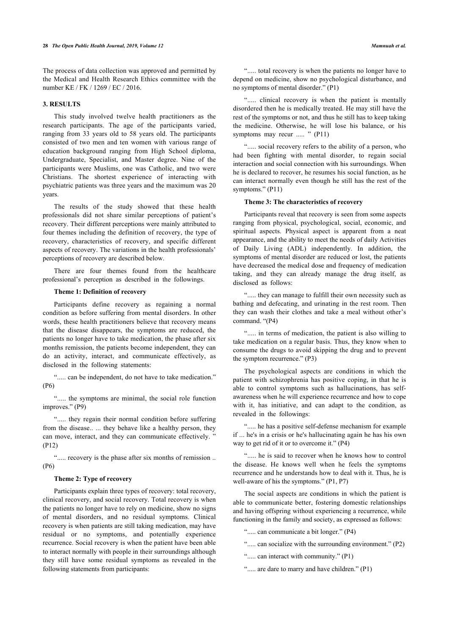The process of data collection was approved and permitted by the Medical and Health Research Ethics committee with the number KE / FK / 1269 / EC / 2016.

# **3. RESULTS**

This study involved twelve health practitioners as the research participants. The age of the participants varied, ranging from 33 years old to 58 years old. The participants consisted of two men and ten women with various range of education background ranging from High School diploma, Undergraduate, Specialist, and Master degree. Nine of the participants were Muslims, one was Catholic, and two were Christians. The shortest experience of interacting with psychiatric patients was three years and the maximum was 20 years.

The results of the study showed that these health professionals did not share similar perceptions of patient's recovery. Their different perceptions were mainly attributed to four themes including the definition of recovery, the type of recovery, characteristics of recovery, and specific different aspects of recovery. The variations in the health professionals' perceptions of recovery are described below.

There are four themes found from the healthcare professional's perception as described in the followings.

# **Theme 1: Definition of recovery**

Participants define recovery as regaining a normal condition as before suffering from mental disorders. In other words, these health practitioners believe that recovery means that the disease disappears, the symptoms are reduced, the patients no longer have to take medication, the phase after six months remission, the patients become independent, they can do an activity, interact, and communicate effectively, as disclosed in the following statements:

"..... can be independent, do not have to take medication." (P6)

"..... the symptoms are minimal, the social role function improves." (P9)

"..... they regain their normal condition before suffering from the disease.. ... they behave like a healthy person, they can move, interact, and they can communicate effectively. (P12)

"..... recovery is the phase after six months of remission .. (P6)

# **Theme 2: Type of recovery**

Participants explain three types of recovery: total recovery, clinical recovery, and social recovery. Total recovery is when the patients no longer have to rely on medicine, show no signs of mental disorders, and no residual symptoms. Clinical recovery is when patients are still taking medication, may have residual or no symptoms, and potentially experience recurrence. Social recovery is when the patient have been able to interact normally with people in their surroundings although they still have some residual symptoms as revealed in the following statements from participants:

"..... total recovery is when the patients no longer have to depend on medicine, show no psychological disturbance, and no symptoms of mental disorder." (P1)

"..... clinical recovery is when the patient is mentally disordered then he is medically treated. He may still have the rest of the symptoms or not, and thus he still has to keep taking the medicine. Otherwise, he will lose his balance, or his symptoms may recur ..... " (P11)

"..... social recovery refers to the ability of a person, who had been fighting with mental disorder, to regain social interaction and social connection with his surroundings. When he is declared to recover, he resumes his social function, as he can interact normally even though he still has the rest of the symptoms." (P11)

# **Theme 3: The characteristics of recovery**

Participants reveal that recovery is seen from some aspects ranging from physical, psychological, social, economic, and spiritual aspects. Physical aspect is apparent from a neat appearance, and the ability to meet the needs of daily Activities of Daily Living (ADL) independently. In addition, the symptoms of mental disorder are reduced or lost, the patients have decreased the medical dose and frequency of medication taking, and they can already manage the drug itself, as disclosed as follows:

"..... they can manage to fulfill their own necessity such as bathing and defecating, and urinating in the rest room. Then they can wash their clothes and take a meal without other's command. "(P4)

"..... in terms of medication, the patient is also willing to take medication on a regular basis. Thus, they know when to consume the drugs to avoid skipping the drug and to prevent the symptom recurrence." (P3)

The psychological aspects are conditions in which the patient with schizophrenia has positive coping, in that he is able to control symptoms such as hallucinations, has selfawareness when he will experience recurrence and how to cope with it, has initiative, and can adapt to the condition, as revealed in the followings:

"..... he has a positive self-defense mechanism for example if ... he's in a crisis or he's hallucinating again he has his own way to get rid of it or to overcome it." (P4)

"..... he is said to recover when he knows how to control the disease. He knows well when he feels the symptoms recurrence and he understands how to deal with it. Thus, he is well-aware of his the symptoms." (P1, P7)

The social aspects are conditions in which the patient is able to communicate better, fostering domestic relationships and having offspring without experiencing a recurrence, while functioning in the family and society, as expressed as follows:

"..... can communicate a bit longer." (P4)

- "..... can socialize with the surrounding environment." (P2)
- "..... can interact with community." (P1)
- "..... are dare to marry and have children." (P1)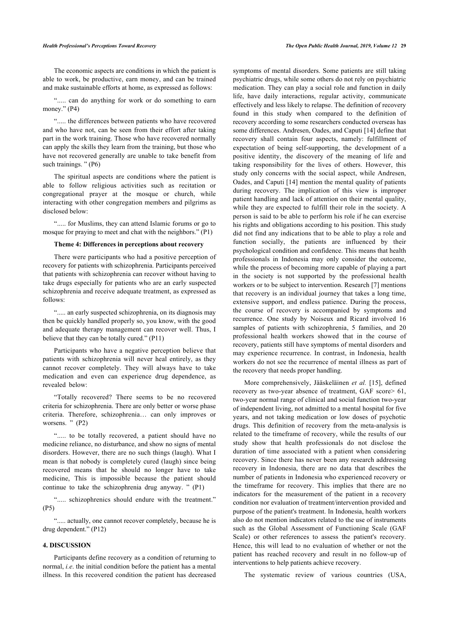The economic aspects are conditions in which the patient is able to work, be productive, earn money, and can be trained and make sustainable efforts at home, as expressed as follows:

"..... can do anything for work or do something to earn money." (P4)

"..... the differences between patients who have recovered and who have not, can be seen from their effort after taking part in the work training. Those who have recovered normally can apply the skills they learn from the training, but those who have not recovered generally are unable to take benefit from such trainings. " (P6)

The spiritual aspects are conditions where the patient is able to follow religious activities such as recitation or congregational prayer at the mosque or church, while interacting with other congregation members and pilgrims as disclosed below:

"..... for Muslims, they can attend Islamic forums or go to mosque for praying to meet and chat with the neighbors." (P1)

#### **Theme 4: Differences in perceptions about recovery**

There were participants who had a positive perception of recovery for patients with schizophrenia. Participants perceived that patients with schizophrenia can recover without having to take drugs especially for patients who are an early suspected schizophrenia and receive adequate treatment, as expressed as follows:

"..... an early suspected schizophrenia, on its diagnosis may then be quickly handled properly so, you know, with the good and adequate therapy management can recover well. Thus, I believe that they can be totally cured." (P11)

Participants who have a negative perception believe that patients with schizophrenia will never heal entirely, as they cannot recover completely. They will always have to take medication and even can experience drug dependence, as revealed below:

"Totally recovered? There seems to be no recovered criteria for schizophrenia. There are only better or worse phase criteria. Therefore, schizophrenia… can only improves or worsens. " (P2)

"..... to be totally recovered, a patient should have no medicine reliance, no disturbance, and show no signs of mental disorders. However, there are no such things (laugh). What I mean is that nobody is completely cured (laugh) since being recovered means that he should no longer have to take medicine, This is impossible because the patient should continue to take the schizophrenia drug anyway. " (P1)

"..... schizophrenics should endure with the treatment." (P5)

"..... actually, one cannot recover completely, because he is drug dependent." (P12)

#### **4. DISCUSSION**

Participants define recovery as a condition of returning to normal, *i.e*. the initial condition before the patient has a mental illness. In this recovered condition the patient has decreased symptoms of mental disorders. Some patients are still taking psychiatric drugs, while some others do not rely on psychiatric medication. They can play a social role and function in daily life, have daily interactions, regular activity, communicate effectively and less likely to relapse. The definition of recovery found in this study when compared to the definition of recovery according to some researchers conducted overseas has some differences. Andresen, Oades, and Caputi [[14\]](#page-6-13) define that recovery shall contain four aspects, namely: fulfillment of expectation of being self-supporting, the development of a positive identity, the discovery of the meaning of life and taking responsibility for the lives of others. However, this study only concerns with the social aspect, while Andresen, Oades, and Caputi [[14\]](#page-6-13) mention the mental quality of patients during recovery. The implication of this view is improper patient handling and lack of attention on their mental quality, while they are expected to fulfill their role in the society. A person is said to be able to perform his role if he can exercise his rights and obligations according to his position. This study did not find any indications that to be able to play a role and function socially, the patients are influenced by their psychological condition and confidence. This means that health professionals in Indonesia may only consider the outcome, while the process of becoming more capable of playing a part in the society is not supported by the professional health workers or to be subject to intervention. Research [\[7\]](#page-6-6) mentions that recovery is an individual journey that takes a long time, extensive support, and endless patience. During the process, the course of recovery is accompanied by symptoms and recurrence. One study by Noiseux and Ricard involved 16 samples of patients with schizophrenia, 5 families, and 20 professional health workers showed that in the course of recovery, patients still have symptoms of mental disorders and may experience recurrence. In contrast, in Indonesia, health workers do not see the recurrence of mental illness as part of the recovery that needs proper handling.

More comprehensively, Jääskeläinen *et al.* [[15](#page-6-14)], defined recovery as two-year absence of treatment, GAF score> 61, two-year normal range of clinical and social function two-year of independent living, not admitted to a mental hospital for five years, and not taking medication or low doses of psychotic drugs. This definition of recovery from the meta-analysis is related to the timeframe of recovery, while the results of our study show that health professionals do not disclose the duration of time associated with a patient when considering recovery. Since there has never been any research addressing recovery in Indonesia, there are no data that describes the number of patients in Indonesia who experienced recovery or the timeframe for recovery. This implies that there are no indicators for the measurement of the patient in a recovery condition nor evaluation of treatment/intervention provided and purpose of the patient's treatment. In Indonesia, health workers also do not mention indicators related to the use of instruments such as the Global Assessment of Functioning Scale (GAF Scale) or other references to assess the patient's recovery. Hence, this will lead to no evaluation of whether or not the patient has reached recovery and result in no follow-up of interventions to help patients achieve recovery.

The systematic review of various countries (USA,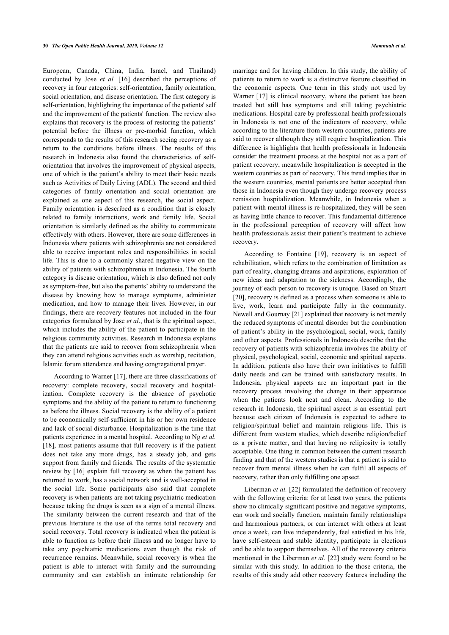European, Canada, China, India, Israel, and Thailand) conducted by Jose *et al.* [\[16](#page-6-15)] described the perceptions of recovery in four categories: self-orientation, family orientation, social orientation, and disease orientation. The first category is self-orientation, highlighting the importance of the patients' self and the improvement of the patients' function. The review also explains that recovery is the process of restoring the patients' potential before the illness or pre-morbid function, which corresponds to the results of this research seeing recovery as a return to the conditions before illness. The results of this research in Indonesia also found the characteristics of selforientation that involves the improvement of physical aspects, one of which is the patient's ability to meet their basic needs such as Activities of Daily Living (ADL). The second and third categories of family orientation and social orientation are explained as one aspect of this research, the social aspect. Family orientation is described as a condition that is closely related to family interactions, work and family life. Social orientation is similarly defined as the ability to communicate effectively with others. However, there are some differences in Indonesia where patients with schizophrenia are not considered able to receive important roles and responsibilities in social life. This is due to a commonly shared negative view on the ability of patients with schizophrenia in Indonesia. The fourth category is disease orientation, which is also defined not only as symptom-free, but also the patients' ability to understand the disease by knowing how to manage symptoms, administer medication, and how to manage their lives. However, in our findings, there are recovery features not included in the four categories formulated by Jose *et al*., that is the spiritual aspect, which includes the ability of the patient to participate in the religious community activities. Research in Indonesia explains that the patients are said to recover from schizophrenia when they can attend religious activities such as worship, recitation, Islamic forum attendance and having congregational prayer.

According to Warner [\[17](#page-6-16)], there are three classifications of recovery: complete recovery, social recovery and hospitalization. Complete recovery is the absence of psychotic symptoms and the ability of the patient to return to functioning as before the illness. Social recovery is the ability of a patient to be economically self-sufficient in his or her own residence and lack of social disturbance. Hospitalization is the time that patients experience in a mental hospital. According to Ng *et al.* [[18\]](#page-6-17), most patients assume that full recovery is if the patient does not take any more drugs, has a steady job, and gets support from family and friends. The results of the systematic review by [\[16\]](#page-6-15) explain full recovery as when the patient has returned to work, has a social network and is well-accepted in the social life. Some participants also said that complete recovery is when patients are not taking psychiatric medication because taking the drugs is seen as a sign of a mental illness. The similarity between the current research and that of the previous literature is the use of the terms total recovery and social recovery. Total recovery is indicated when the patient is able to function as before their illness and no longer have to take any psychiatric medications even though the risk of recurrence remains. Meanwhile, social recovery is when the patient is able to interact with family and the surrounding community and can establish an intimate relationship for

marriage and for having children. In this study, the ability of patients to return to work is a distinctive feature classified in the economic aspects. One term in this study not used by Warner [[17](#page-6-16)] is clinical recovery, where the patient has been treated but still has symptoms and still taking psychiatric medications. Hospital care by professional health professionals in Indonesia is not one of the indicators of recovery, while according to the literature from western countries, patients are said to recover although they still require hospitalization. This difference is highlights that health professionals in Indonesia consider the treatment process at the hospital not as a part of patient recovery, meanwhile hospitalization is accepted in the western countries as part of recovery. This trend implies that in the western countries, mental patients are better accepted than those in Indonesia even though they undergo recovery process remission hospitalization. Meanwhile, in Indonesia when a patient with mental illness is re-hospitalized, they will be seen as having little chance to recover. This fundamental difference in the professional perception of recovery will affect how health professionals assist their patient's treatment to achieve recovery.

According to Fontaine[[19\]](#page-6-18), recovery is an aspect of rehabilitation, which refers to the combination of limitation as part of reality, changing dreams and aspirations, exploration of new ideas and adaptation to the sickness. Accordingly, the journey of each person to recovery is unique. Based on Stuart [[20](#page-6-19)], recovery is defined as a process when someone is able to live, work, learn and participate fully in the community. Newell and Gournay [[21\]](#page-6-20) explained that recovery is not merely the reduced symptoms of mental disorder but the combination of patient's ability in the psychological, social, work, family and other aspects. Professionals in Indonesia describe that the recovery of patients with schizophrenia involves the ability of physical, psychological, social, economic and spiritual aspects. In addition, patients also have their own initiatives to fulfill daily needs and can be trained with satisfactory results. In Indonesia, physical aspects are an important part in the recovery process involving the change in their appearance when the patients look neat and clean. According to the research in Indonesia, the spiritual aspect is an essential part because each citizen of Indonesia is expected to adhere to religion/spiritual belief and maintain religious life. This is different from western studies, which describe religion/belief as a private matter, and that having no religiosity is totally acceptable. One thing in common between the current research finding and that of the western studies is that a patient is said to recover from mental illness when he can fulfil all aspects of recovery, rather than only fulfilling one apsect.

Liberman *et al.* [[22\]](#page-6-21) formulated the definition of recovery with the following criteria: for at least two years, the patients show no clinically significant positive and negative symptoms, can work and socially function, maintain family relationships and harmonious partners, or can interact with others at least once a week, can live independently, feel satisfied in his life, have self-esteem and stable identity, participate in elections and be able to support themselves. All of the recovery criteria mentioned in the Liberman *et al.* [[22\]](#page-6-21) study were found to be similar with this study. In addition to the those criteria, the results of this study add other recovery features including the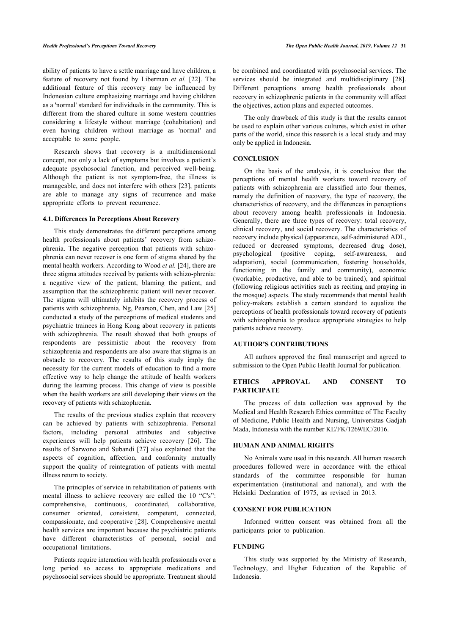ability of patients to have a settle marriage and have children, a feature of recovery not found by Liberman *et al.* [[22\]](#page-6-21). The additional feature of this recovery may be influenced by Indonesian culture emphasizing marriage and having children as a 'normal' standard for individuals in the community. This is different from the shared culture in some western countries considering a lifestyle without marriage (cohabitation) and even having children without marriage as 'normal' and acceptable to some people.

Research shows that recovery is a multidimensional concept, not only a lack of symptoms but involves a patient's adequate psychosocial function, and perceived well-being. Although the patient is not symptom-free, the illness is manageable, and does not interfere with others [[23](#page-6-22)], patients are able to manage any signs of recurrence and make appropriate efforts to prevent recurrence.

# **4.1. Differences In Perceptions About Recovery**

This study demonstrates the different perceptions among health professionals about patients' recovery from schizophrenia. The negative perception that patients with schizophrenia can never recover is one form of stigma shared by the mental health workers. According to Wood *et al.* [\[24](#page-6-23)], there are three stigma attitudes received by patients with schizo-phrenia: a negative view of the patient, blaming the patient, and assumption that the schizophrenic patient will never recover. The stigma will ultimately inhibits the recovery process of patients with schizophrenia. Ng, Pearson, Chen, and Law [\[25](#page-6-24)] conducted a study of the perceptions of medical students and psychiatric trainees in Hong Kong about recovery in patients with schizophrenia. The result showed that both groups of respondents are pessimistic about the recovery from schizophrenia and respondents are also aware that stigma is an obstacle to recovery. The results of this study imply the necessity for the current models of education to find a more effective way to help change the attitude of health workers during the learning process. This change of view is possible when the health workers are still developing their views on the recovery of patients with schizophrenia.

The results of the previous studies explain that recovery can be achieved by patients with schizophrenia. Personal factors, including personal attributes and subjective experiences will help patients achieve recovery[[26\]](#page-6-25). The results of Sarwono and Subandi [[27\]](#page-6-26) also explained that the aspects of cognition, affection, and conformity mutually support the quality of reintegration of patients with mental illness return to society.

The principles of service in rehabilitation of patients with mental illness to achieve recovery are called the 10 "C's": comprehensive, continuous, coordinated, collaborative, consumer oriented, consistent, competent, connected, compassionate, and cooperative [\[28\]](#page-6-27). Comprehensive mental health services are important because the psychiatric patients have different characteristics of personal, social and occupational limitations.

Patients require interaction with health professionals over a long period so access to appropriate medications and psychosocial services should be appropriate. Treatment should

be combined and coordinated with psychosocial services. The services should be integrated and multidisciplinary[[28](#page-6-27)]. Different perceptions among health professionals about recovery in schizophrenic patients in the community will affect the objectives, action plans and expected outcomes.

The only drawback of this study is that the results cannot be used to explain other various cultures, which exist in other parts of the world, since this research is a local study and may only be applied in Indonesia.

#### **CONCLUSION**

On the basis of the analysis, it is conclusive that the perceptions of mental health workers toward recovery of patients with schizophrenia are classified into four themes, namely the definition of recovery, the type of recovery, the characteristics of recovery, and the differences in perceptions about recovery among health professionals in Indonesia. Generally, there are three types of recovery: total recovery, clinical recovery, and social recovery. The characteristics of recovery include physical (appearance, self-administered ADL, reduced or decreased symptoms, decreased drug dose), psychological (positive coping, self-awareness, and adaptation), social (communication, fostering households, functioning in the family and community), economic (workable, productive, and able to be trained), and spiritual (following religious activities such as reciting and praying in the mosque) aspects. The study recommends that mental health policy-makers establish a certain standard to equalize the perceptions of health professionals toward recovery of patients with schizophrenia to produce appropriate strategies to help patients achieve recovery.

# **AUTHOR'S CONTRIBUTIONS**

All authors approved the final manuscript and agreed to submission to the Open Public Health Journal for publication.

# **ETHICS APPROVAL AND CONSENT TO PARTICIPATE**

The process of data collection was approved by the Medical and Health Research Ethics committee of The Faculty of Medicine, Public Health and Nursing, Universitas Gadjah Mada, Indonesia with the number KE/FK/1269/EC/2016.

# **HUMAN AND ANIMAL RIGHTS**

No Animals were used in this research. All human research procedures followed were in accordance with the ethical standards of the committee responsible for human experimentation (institutional and national), and with the Helsinki Declaration of 1975, as revised in 2013.

#### **CONSENT FOR PUBLICATION**

Informed written consent was obtained from all the participants prior to publication.

#### **FUNDING**

This study was supported by the Ministry of Research, Technology, and Higher Education of the Republic of Indonesia.